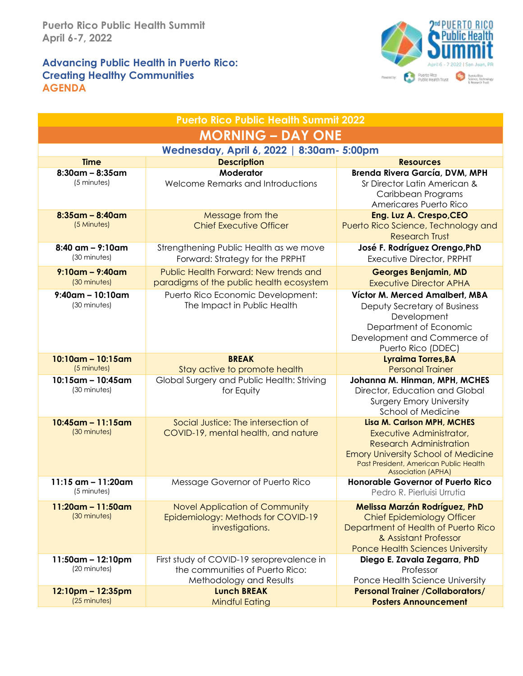## **Advancing Public Health in Puerto Rico: Creating Healthy Communities AGENDA**



| <b>Puerto Rico Public Health Summit 2022</b> |                                                                                                         |                                                                                                                                                                                                                      |  |  |
|----------------------------------------------|---------------------------------------------------------------------------------------------------------|----------------------------------------------------------------------------------------------------------------------------------------------------------------------------------------------------------------------|--|--|
| <b>MORNING – DAY ONE</b>                     |                                                                                                         |                                                                                                                                                                                                                      |  |  |
| Wednesday, April 6, 2022   8:30am- 5:00pm    |                                                                                                         |                                                                                                                                                                                                                      |  |  |
| <b>Time</b>                                  | <b>Description</b>                                                                                      | <b>Resources</b>                                                                                                                                                                                                     |  |  |
| $8:30$ am – $8:35$ am<br>(5 minutes)         | Moderator<br>Welcome Remarks and Introductions                                                          | Brenda Rivera García, DVM, MPH<br>Sr Director Latin American &<br>Caribbean Programs<br>Americares Puerto Rico                                                                                                       |  |  |
| $8:35$ am – $8:40$ am<br>(5 Minutes)         | Message from the<br><b>Chief Executive Officer</b>                                                      | Eng. Luz A. Crespo, CEO<br>Puerto Rico Science, Technology and<br><b>Research Trust</b>                                                                                                                              |  |  |
| $8:40$ am - $9:10$ am<br>(30 minutes)        | Strengthening Public Health as we move<br>Forward: Strategy for the PRPHT                               | José F. Rodríguez Orengo, PhD<br>Executive Director, PRPHT                                                                                                                                                           |  |  |
| $9:10$ am – 9:40am<br>(30 minutes)           | Public Health Forward: New trends and<br>paradigms of the public health ecosystem                       | <b>Georges Benjamin, MD</b><br><b>Executive Director APHA</b>                                                                                                                                                        |  |  |
| $9:40$ am - 10:10am                          | Puerto Rico Economic Development:                                                                       |                                                                                                                                                                                                                      |  |  |
| (30 minutes)                                 | The Impact in Public Health                                                                             | Víctor M. Merced Amalbert, MBA<br>Deputy Secretary of Business<br>Development<br>Department of Economic<br>Development and Commerce of<br>Puerto Rico (DDEC)                                                         |  |  |
| $10:10$ am - $10:15$ am<br>(5 minutes)       | <b>BREAK</b><br>Stay active to promote health                                                           | Lyraima Torres, BA<br><b>Personal Trainer</b>                                                                                                                                                                        |  |  |
| $10:15$ am - 10:45 am<br>(30 minutes)        | Global Surgery and Public Health: Striving<br>for Equity                                                | Johanna M. Hinman, MPH, MCHES<br>Director, Education and Global<br><b>Surgery Emory University</b><br>School of Medicine                                                                                             |  |  |
| $10:45$ am - 11:15am<br>(30 minutes)         | Social Justice: The intersection of<br>COVID-19, mental health, and nature                              | <b>Lisa M. Carlson MPH, MCHES</b><br>Executive Administrator,<br><b>Research Administration</b><br><b>Emory University School of Medicine</b><br>Past President, American Public Health<br><b>Association (APHA)</b> |  |  |
| 11:15 $am - 11:20am$<br>$(5$ minutes)        | Message Governor of Puerto Rico                                                                         | <b>Honorable Governor of Puerto Rico</b><br>Pedro R. Pierluisi Urrutia                                                                                                                                               |  |  |
| $11:20$ am – 11:50am<br>(30 minutes)         | Novel Application of Community<br>Epidemiology: Methods for COVID-19<br>investigations.                 | <b>Melissa Marzán Rodríguez, PhD</b><br><b>Chief Epidemiology Officer</b><br>Department of Health of Puerto Rico<br>& Assistant Professor<br><b>Ponce Health Sciences University</b>                                 |  |  |
| 11:50am - 12:10pm<br>(20 minutes)            | First study of COVID-19 seroprevalence in<br>the communities of Puerto Rico:<br>Methodology and Results | Diego E. Zavala Zegarra, PhD<br>Professor<br>Ponce Health Science University                                                                                                                                         |  |  |
| 12:10pm - 12:35pm<br>(25 minutes)            | <b>Lunch BREAK</b><br><b>Mindful Eating</b>                                                             | <b>Personal Trainer /Collaborators/</b><br><b>Posters Announcement</b>                                                                                                                                               |  |  |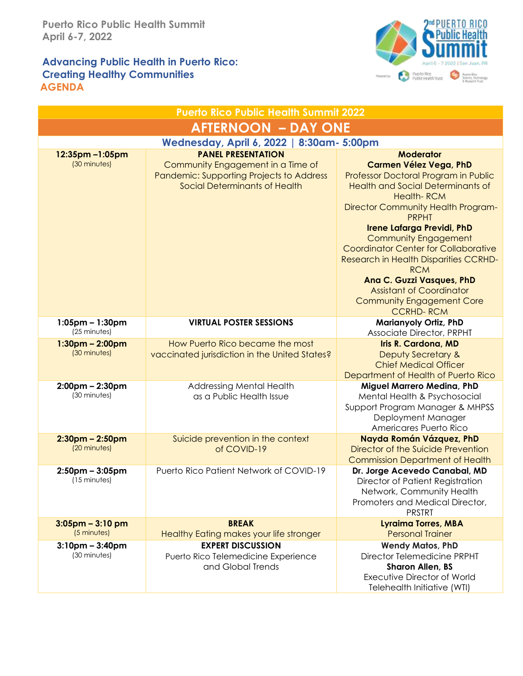### **Advancing Public Health in Puerto Rico: Creating Healthy Communities AGENDA**



| <b>Puerto Rico Public Health Summit 2022</b> |                                                                                                                                             |                                                                                                                                                                                                                                                                                                                                                                                                                                                                                                                    |  |  |
|----------------------------------------------|---------------------------------------------------------------------------------------------------------------------------------------------|--------------------------------------------------------------------------------------------------------------------------------------------------------------------------------------------------------------------------------------------------------------------------------------------------------------------------------------------------------------------------------------------------------------------------------------------------------------------------------------------------------------------|--|--|
| <b>AFTERNOON - DAY ONE</b>                   |                                                                                                                                             |                                                                                                                                                                                                                                                                                                                                                                                                                                                                                                                    |  |  |
| Wednesday, April 6, 2022   8:30am- 5:00pm    |                                                                                                                                             |                                                                                                                                                                                                                                                                                                                                                                                                                                                                                                                    |  |  |
| 12:35pm-1:05pm<br>(30 minutes)               | <b>PANEL PRESENTATION</b><br>Community Engagement in a Time of<br>Pandemic: Supporting Projects to Address<br>Social Determinants of Health | <b>Moderator</b><br><b>Carmen Vélez Vega, PhD</b><br>Professor Doctoral Program in Public<br><b>Health and Social Determinants of</b><br><b>Health-RCM</b><br>Director Community Health Program-<br><b>PRPHT</b><br><b>Irene Lafarga Previdi, PhD</b><br><b>Community Engagement</b><br><b>Coordinator Center for Collaborative</b><br>Research in Health Disparities CCRHD-<br><b>RCM</b><br>Ana C. Guzzi Vasques, PhD<br><b>Assistant of Coordinator</b><br><b>Community Engagement Core</b><br><b>CCRHD-RCM</b> |  |  |
| $1:05$ pm – $1:30$ pm<br>(25 minutes)        | <b>VIRTUAL POSTER SESSIONS</b>                                                                                                              | Marianyoly Ortiz, PhD<br>Associate Director, PRPHT                                                                                                                                                                                                                                                                                                                                                                                                                                                                 |  |  |
| $1:30$ pm – $2:00$ pm<br>(30 minutes)        | How Puerto Rico became the most<br>vaccinated jurisdiction in the United States?                                                            | Iris R. Cardona, MD<br>Deputy Secretary &<br><b>Chief Medical Officer</b><br>Department of Health of Puerto Rico                                                                                                                                                                                                                                                                                                                                                                                                   |  |  |
| $2:00$ pm – $2:30$ pm<br>(30 minutes)        | Addressing Mental Health<br>as a Public Health Issue                                                                                        | Miguel Marrero Medina, PhD<br>Mental Health & Psychosocial<br>Support Program Manager & MHPSS<br>Deployment Manager<br>Americares Puerto Rico                                                                                                                                                                                                                                                                                                                                                                      |  |  |
| $2:30$ pm – $2:50$ pm<br>(20 minutes)        | Suicide prevention in the context<br>of COVID-19                                                                                            | Nayda Román Vázquez, PhD<br>Director of the Suicide Prevention<br><b>Commission Department of Health</b>                                                                                                                                                                                                                                                                                                                                                                                                           |  |  |
| $2:50$ pm – $3:05$ pm<br>(15 minutes)        | Puerto Rico Patient Network of COVID-19                                                                                                     | Dr. Jorge Acevedo Canabal, MD<br>Director of Patient Registration<br>Network, Community Health<br>Promoters and Medical Director,<br><b>PRSTRT</b>                                                                                                                                                                                                                                                                                                                                                                 |  |  |
| $3:05$ pm - $3:10$ pm<br>(5 minutes)         | <b>BREAK</b><br>Healthy Eating makes your life stronger                                                                                     | <b>Lyraima Torres, MBA</b><br><b>Personal Trainer</b>                                                                                                                                                                                                                                                                                                                                                                                                                                                              |  |  |
| $3:10$ pm – $3:40$ pm<br>(30 minutes)        | <b>EXPERT DISCUSSION</b><br>Puerto Rico Telemedicine Experience<br>and Global Trends                                                        | <b>Wendy Matos, PhD</b><br>Director Telemedicine PRPHT<br><b>Sharon Allen, BS</b><br><b>Executive Director of World</b><br>Telehealth Initiative (WTI)                                                                                                                                                                                                                                                                                                                                                             |  |  |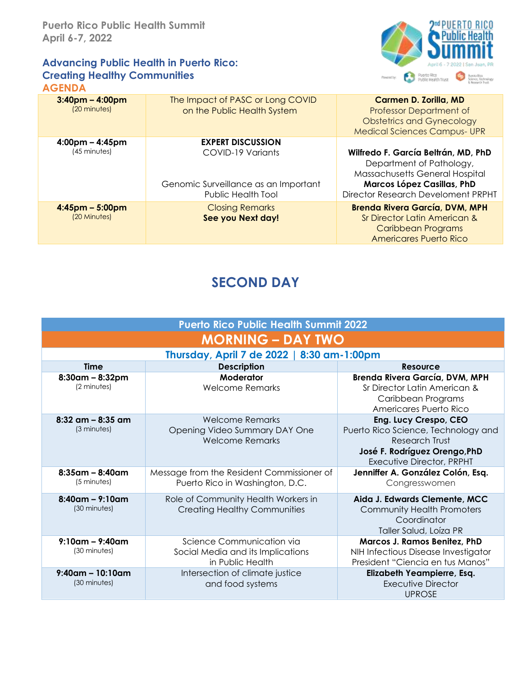#### **Advancing Public Health in Puerto Rico: Creating Healthy Communities AGENDA**



| $3:40$ pm – 4:00pm<br>(20 minutes) | The Impact of PASC or Long COVID<br>on the Public Health System                 | Carmen D. Zorilla, MD<br><b>Professor Department of</b><br><b>Obstetrics and Gynecology</b><br><b>Medical Sciences Campus- UPR</b>                                    |
|------------------------------------|---------------------------------------------------------------------------------|-----------------------------------------------------------------------------------------------------------------------------------------------------------------------|
| $4:00 \text{pm} - 4:45 \text{pm}$  | <b>EXPERT DISCUSSION</b>                                                        |                                                                                                                                                                       |
| (45 minutes)                       | COVID-19 Variants<br>Genomic Surveillance as an Important<br>Public Health Tool | Wilfredo F. García Beltrán, MD, PhD<br>Department of Pathology,<br>Massachusetts General Hospital<br>Marcos López Casillas, PhD<br>Director Research Develoment PRPHT |
| $4:45$ pm – 5:00pm<br>(20 Minutes) | <b>Closing Remarks</b><br>See you Next day!                                     | <b>Brenda Rivera García, DVM, MPH</b><br>Sr Director Latin American &<br>Caribbean Programs<br><b>Americares Puerto Rico</b>                                          |

# **SECOND DAY**

| <b>Puerto Rico Public Health Summit 2022</b> |                                                                                    |                                                                                                                                              |  |  |
|----------------------------------------------|------------------------------------------------------------------------------------|----------------------------------------------------------------------------------------------------------------------------------------------|--|--|
| <b>MORNING – DAY TWO</b>                     |                                                                                    |                                                                                                                                              |  |  |
| Thursday, April 7 de 2022   8:30 am-1:00pm   |                                                                                    |                                                                                                                                              |  |  |
| <b>Time</b>                                  | <b>Description</b>                                                                 | Resource                                                                                                                                     |  |  |
| $8:30$ am – $8:32$ pm<br>(2 minutes)         | Moderator<br><b>Welcome Remarks</b>                                                | Brenda Rivera García, DVM, MPH<br>Sr Director Latin American &<br>Caribbean Programs<br>Americares Puerto Rico                               |  |  |
| $8:32$ am – $8:35$ am<br>(3 minutes)         | <b>Welcome Remarks</b><br>Opening Video Summary DAY One<br><b>Welcome Remarks</b>  | Eng. Lucy Crespo, CEO<br>Puerto Rico Science, Technology and<br>Research Trust<br>José F. Rodríguez Orengo, PhD<br>Executive Director, PRPHT |  |  |
| $8:35$ am – $8:40$ am<br>$(5$ minutes)       | Message from the Resident Commissioner of<br>Puerto Rico in Washington, D.C.       | Jenniffer A. González Colón, Esq.<br>Congresswomen                                                                                           |  |  |
| $8:40$ am – 9:10am<br>(30 minutes)           | Role of Community Health Workers in<br><b>Creating Healthy Communities</b>         | Aida J. Edwards Clemente, MCC<br><b>Community Health Promoters</b><br>Coordinator<br>Taller Salud, Loíza PR                                  |  |  |
| $9:10$ am – $9:40$ am<br>(30 minutes)        | Science Communication via<br>Social Media and its Implications<br>in Public Health | Marcos J. Ramos Benitez, PhD<br>NIH Infectious Disease Investigator<br>President "Ciencia en tus Manos"                                      |  |  |
| $9:40$ am - 10:10am<br>(30 minutes)          | Intersection of climate justice<br>and food systems                                | Elizabeth Yeampierre, Esq.<br>Executive Director<br><b>UPROSE</b>                                                                            |  |  |